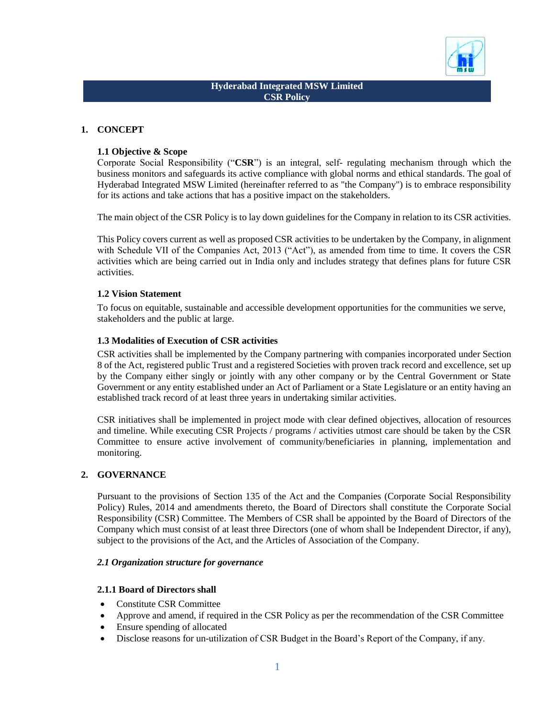

## **Hyderabad Integrated MSW Limited CSR Policy**

## **1. CONCEPT**

### **1.1 Objective & Scope**

Corporate Social Responsibility ("**CSR**") is an integral, self- regulating mechanism through which the business monitors and safeguards its active compliance with global norms and ethical standards. The goal of Hyderabad Integrated MSW Limited (hereinafter referred to as "the Company") is to embrace responsibility for its actions and take actions that has a positive impact on the stakeholders.

The main object of the CSR Policy is to lay down guidelines for the Company in relation to its CSR activities.

This Policy covers current as well as proposed CSR activities to be undertaken by the Company, in alignment with Schedule VII of the Companies Act, 2013 ("Act"), as amended from time to time. It covers the CSR activities which are being carried out in India only and includes strategy that defines plans for future CSR activities.

#### **1.2 Vision Statement**

To focus on equitable, sustainable and accessible development opportunities for the communities we serve, stakeholders and the public at large.

#### **1.3 Modalities of Execution of CSR activities**

CSR activities shall be implemented by the Company partnering with companies incorporated under Section 8 of the Act, registered public Trust and a registered Societies with proven track record and excellence, set up by the Company either singly or jointly with any other company or by the Central Government or State Government or any entity established under an Act of Parliament or a State Legislature or an entity having an established track record of at least three years in undertaking similar activities.

CSR initiatives shall be implemented in project mode with clear defined objectives, allocation of resources and timeline. While executing CSR Projects / programs / activities utmost care should be taken by the CSR Committee to ensure active involvement of community/beneficiaries in planning, implementation and monitoring.

### **2. GOVERNANCE**

Pursuant to the provisions of Section 135 of the Act and the Companies (Corporate Social Responsibility Policy) Rules, 2014 and amendments thereto, the Board of Directors shall constitute the Corporate Social Responsibility (CSR) Committee. The Members of CSR shall be appointed by the Board of Directors of the Company which must consist of at least three Directors (one of whom shall be Independent Director, if any), subject to the provisions of the Act, and the Articles of Association of the Company.

#### *2.1 Organization structure for governance*

#### **2.1.1 Board of Directors shall**

- Constitute CSR Committee
- Approve and amend, if required in the CSR Policy as per the recommendation of the CSR Committee
- Ensure spending of allocated
- Disclose reasons for un-utilization of CSR Budget in the Board's Report of the Company, if any.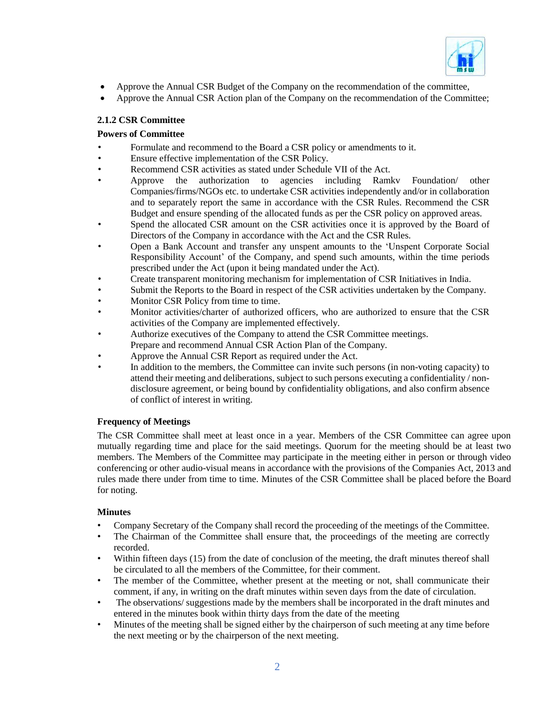

- Approve the Annual CSR Budget of the Company on the recommendation of the committee,
- Approve the Annual CSR Action plan of the Company on the recommendation of the Committee;

# **2.1.2 CSR Committee**

# **Powers of Committee**

- Formulate and recommend to the Board a CSR policy or amendments to it.
- Ensure effective implementation of the CSR Policy.
- Recommend CSR activities as stated under Schedule VII of the Act.
- Approve the authorization to agencies including Ramkv Foundation/ other Companies/firms/NGOs etc. to undertake CSR activities independently and/or in collaboration and to separately report the same in accordance with the CSR Rules. Recommend the CSR Budget and ensure spending of the allocated funds as per the CSR policy on approved areas.
- Spend the allocated CSR amount on the CSR activities once it is approved by the Board of Directors of the Company in accordance with the Act and the CSR Rules.
- Open a Bank Account and transfer any unspent amounts to the 'Unspent Corporate Social Responsibility Account' of the Company, and spend such amounts, within the time periods prescribed under the Act (upon it being mandated under the Act).
- Create transparent monitoring mechanism for implementation of CSR Initiatives in India.
- Submit the Reports to the Board in respect of the CSR activities undertaken by the Company.
- Monitor CSR Policy from time to time.
- Monitor activities/charter of authorized officers, who are authorized to ensure that the CSR activities of the Company are implemented effectively.
- Authorize executives of the Company to attend the CSR Committee meetings. Prepare and recommend Annual CSR Action Plan of the Company.
- 
- Approve the Annual CSR Report as required under the Act.
- In addition to the members, the Committee can invite such persons (in non-voting capacity) to attend their meeting and deliberations, subject to such persons executing a confidentiality / nondisclosure agreement, or being bound by confidentiality obligations, and also confirm absence of conflict of interest in writing.

## **Frequency of Meetings**

The CSR Committee shall meet at least once in a year. Members of the CSR Committee can agree upon mutually regarding time and place for the said meetings. Quorum for the meeting should be at least two members. The Members of the Committee may participate in the meeting either in person or through video conferencing or other audio-visual means in accordance with the provisions of the Companies Act, 2013 and rules made there under from time to time. Minutes of the CSR Committee shall be placed before the Board for noting.

## **Minutes**

- Company Secretary of the Company shall record the proceeding of the meetings of the Committee.
- The Chairman of the Committee shall ensure that, the proceedings of the meeting are correctly recorded.
- Within fifteen days (15) from the date of conclusion of the meeting, the draft minutes thereof shall be circulated to all the members of the Committee, for their comment.
- The member of the Committee, whether present at the meeting or not, shall communicate their comment, if any, in writing on the draft minutes within seven days from the date of circulation.
- The observations/ suggestions made by the members shall be incorporated in the draft minutes and entered in the minutes book within thirty days from the date of the meeting
- Minutes of the meeting shall be signed either by the chairperson of such meeting at any time before the next meeting or by the chairperson of the next meeting.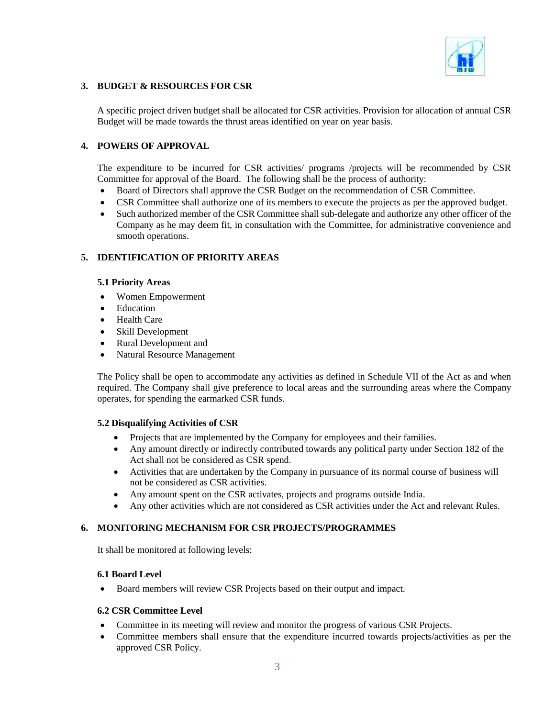

## **3. BUDGET & RESOURCES FOR CSR**

A specific project driven budget shall be allocated for CSR activities. Provision for allocation of annual CSR Budget will be made towards the thrust areas identified on year on year basis.

## **4. POWERS OF APPROVAL**

The expenditure to be incurred for CSR activities/ programs /projects will be recommended by CSR Committee for approval of the Board. The following shall be the process of authority:

- Board of Directors shall approve the CSR Budget on the recommendation of CSR Committee.
- CSR Committee shall authorize one of its members to execute the projects as per the approved budget.
- Such authorized member of the CSR Committee shall sub-delegate and authorize any other officer of the Company as he may deem fit, in consultation with the Committee, for administrative convenience and smooth operations.

### **5. IDENTIFICATION OF PRIORITY AREAS**

#### **5.1 Priority Areas**

- Women Empowerment
- Education
- Health Care
- Skill Development
- Rural Development and
- Natural Resource Management

The Policy shall be open to accommodate any activities as defined in Schedule VII of the Act as and when required. The Company shall give preference to local areas and the surrounding areas where the Company operates, for spending the earmarked CSR funds.

### **5.2 Disqualifying Activities of CSR**

- Projects that are implemented by the Company for employees and their families.
- Any amount directly or indirectly contributed towards any political party under Section 182 of the Act shall not be considered as CSR spend.
- Activities that are undertaken by the Company in pursuance of its normal course of business will not be considered as CSR activities.
- Any amount spent on the CSR activates, projects and programs outside India.
- Any other activities which are not considered as CSR activities under the Act and relevant Rules.

### **6. MONITORING MECHANISM FOR CSR PROJECTS/PROGRAMMES**

It shall be monitored at following levels:

### **6.1 Board Level**

• Board members will review CSR Projects based on their output and impact.

### **6.2 CSR Committee Level**

- Committee in its meeting will review and monitor the progress of various CSR Projects.
- Committee members shall ensure that the expenditure incurred towards projects/activities as per the approved CSR Policy.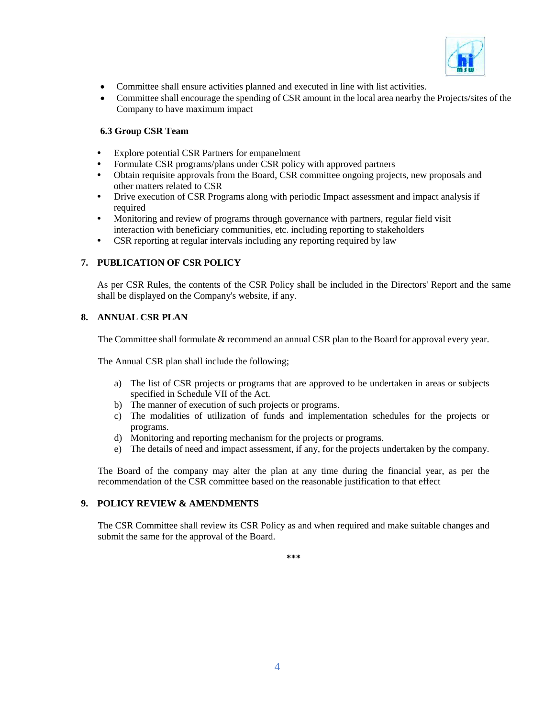

- Committee shall ensure activities planned and executed in line with list activities.
- Committee shall encourage the spending of CSR amount in the local area nearby the Projects/sites of the Company to have maximum impact

### **6.3 Group CSR Team**

- Explore potential CSR Partners for empanelment
- **•** Formulate CSR programs/plans under CSR policy with approved partners
- Obtain requisite approvals from the Board, CSR committee ongoing projects, new proposals and other matters related to CSR
- **•** Drive execution of CSR Programs along with periodic Impact assessment and impact analysis if required
- **•** Monitoring and review of programs through governance with partners, regular field visit interaction with beneficiary communities, etc. including reporting to stakeholders
- **•** CSR reporting at regular intervals including any reporting required by law

## **7. PUBLICATION OF CSR POLICY**

As per CSR Rules, the contents of the CSR Policy shall be included in the Directors' Report and the same shall be displayed on the Company's website, if any.

### **8. ANNUAL CSR PLAN**

The Committee shall formulate & recommend an annual CSR plan to the Board for approval every year.

The Annual CSR plan shall include the following;

- a) The list of CSR projects or programs that are approved to be undertaken in areas or subjects specified in Schedule VII of the Act.
- b) The manner of execution of such projects or programs.
- c) The modalities of utilization of funds and implementation schedules for the projects or programs.
- d) Monitoring and reporting mechanism for the projects or programs.
- e) The details of need and impact assessment, if any, for the projects undertaken by the company.

The Board of the company may alter the plan at any time during the financial year, as per the recommendation of the CSR committee based on the reasonable justification to that effect

# **9. POLICY REVIEW & AMENDMENTS**

The CSR Committee shall review its CSR Policy as and when required and make suitable changes and submit the same for the approval of the Board.

**\*\*\***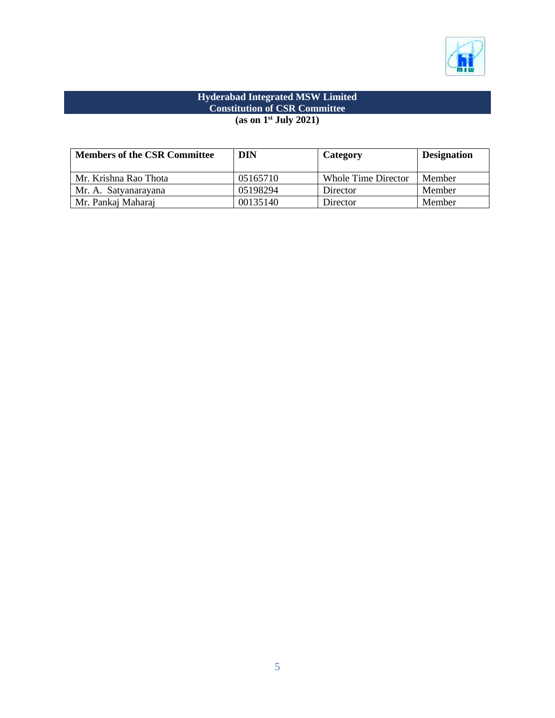

## **Hyderabad Integrated MSW Limited Constitution of CSR Committee (as on 1st July 2021)**

| <b>Members of the CSR Committee</b> | <b>DIN</b> | Category            | <b>Designation</b> |
|-------------------------------------|------------|---------------------|--------------------|
| Mr. Krishna Rao Thota               | 05165710   | Whole Time Director | Member             |
| Mr. A. Satyanarayana                | 05198294   | Director            | Member             |
| Mr. Pankaj Maharaj                  | 00135140   | Director            | Member             |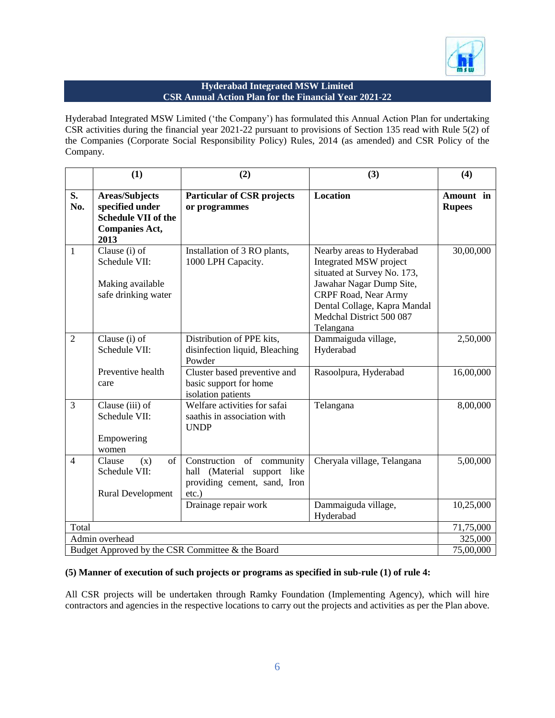

## **Hyderabad Integrated MSW Limited CSR Annual Action Plan for the Financial Year 2021-22**

Hyderabad Integrated MSW Limited ('the Company') has formulated this Annual Action Plan for undertaking CSR activities during the financial year 2021-22 pursuant to provisions of Section 135 read with Rule 5(2) of the Companies (Corporate Social Responsibility Policy) Rules, 2014 (as amended) and CSR Policy of the Company.

|                                                  | (1)                                                                                              | (2)                                                                                                     | (3)                                                                                                                                                                                                             | (4)                        |
|--------------------------------------------------|--------------------------------------------------------------------------------------------------|---------------------------------------------------------------------------------------------------------|-----------------------------------------------------------------------------------------------------------------------------------------------------------------------------------------------------------------|----------------------------|
| S.<br>No.                                        | <b>Areas/Subjects</b><br>specified under<br>Schedule VII of the<br><b>Companies Act,</b><br>2013 | <b>Particular of CSR projects</b><br>or programmes                                                      | Location                                                                                                                                                                                                        | Amount in<br><b>Rupees</b> |
| 1                                                | Clause (i) of<br>Schedule VII:<br>Making available<br>safe drinking water                        | Installation of 3 RO plants,<br>1000 LPH Capacity.                                                      | Nearby areas to Hyderabad<br>Integrated MSW project<br>situated at Survey No. 173,<br>Jawahar Nagar Dump Site,<br>CRPF Road, Near Army<br>Dental Collage, Kapra Mandal<br>Medchal District 500 087<br>Telangana | 30,00,000                  |
| $\overline{2}$                                   | Clause (i) of<br>Schedule VII:                                                                   | Distribution of PPE kits,<br>disinfection liquid, Bleaching<br>Powder                                   | Dammaiguda village,<br>Hyderabad                                                                                                                                                                                | 2,50,000                   |
|                                                  | Preventive health<br>care                                                                        | Cluster based preventive and<br>basic support for home<br>isolation patients                            | Rasoolpura, Hyderabad                                                                                                                                                                                           | 16,00,000                  |
| 3                                                | Clause (iii) of<br>Schedule VII:<br>Empowering<br>women                                          | Welfare activities for safai<br>saathis in association with<br><b>UNDP</b>                              | Telangana                                                                                                                                                                                                       | 8,00,000                   |
| $\overline{4}$                                   | Clause<br>of<br>(x)<br>Schedule VII:<br><b>Rural Development</b>                                 | Construction of community<br>hall (Material support<br>like<br>providing cement, sand, Iron<br>$etc.$ ) | Cheryala village, Telangana                                                                                                                                                                                     | 5,00,000                   |
|                                                  |                                                                                                  | Drainage repair work                                                                                    | Dammaiguda village,<br>Hyderabad                                                                                                                                                                                | 10,25,000                  |
| Total                                            |                                                                                                  |                                                                                                         |                                                                                                                                                                                                                 | 71,75,000                  |
| Admin overhead                                   |                                                                                                  |                                                                                                         |                                                                                                                                                                                                                 | 325,000                    |
| Budget Approved by the CSR Committee & the Board |                                                                                                  |                                                                                                         |                                                                                                                                                                                                                 | 75,00,000                  |

### **(5) Manner of execution of such projects or programs as specified in sub-rule (1) of rule 4:**

All CSR projects will be undertaken through Ramky Foundation (Implementing Agency), which will hire contractors and agencies in the respective locations to carry out the projects and activities as per the Plan above.